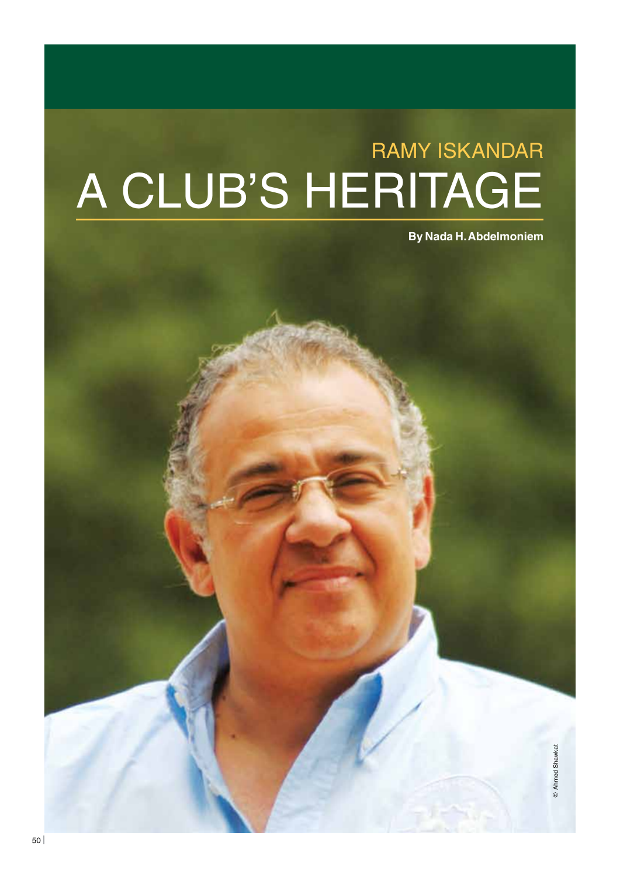# RAMY ISKANDAR A CLUB'S HERITAGE

**By Nada H. Abdelmoniem**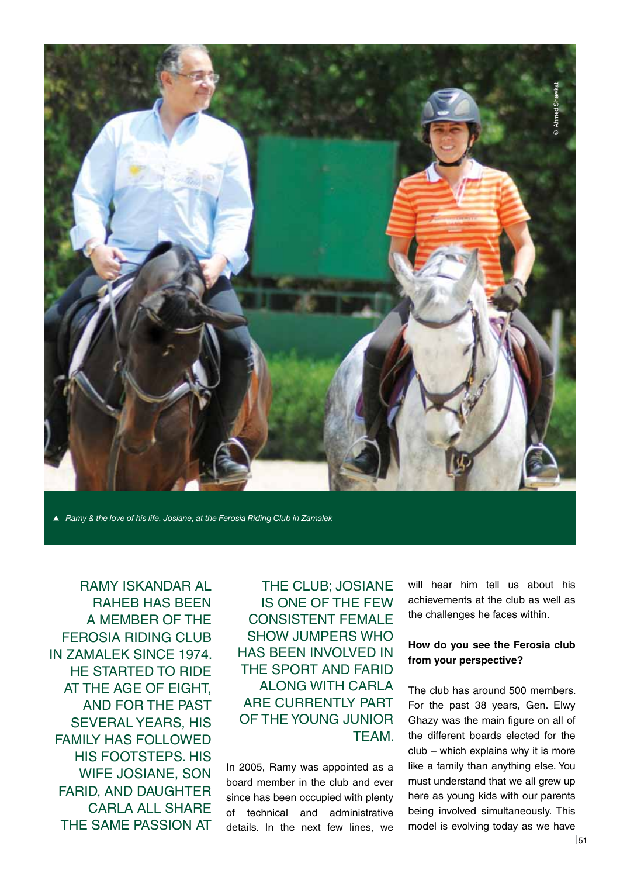

*Ramy & the love of his life, Josiane, at the Ferosia Riding Club in Zamalek*

Ramy Iskandar Al Raheb has been a member of the FEROSIA RIDING CLUB in Zamalek since 1974. HE STARTED TO RIDE at the age of eight, and for the past several years, his family has followed his footsteps. His wife Josiane, son FARID, AND DAUGHTER CARLA ALL SHARE the same passion at

THE CLUB; JOSIANE is one of the few consistent female show jumpers who has been involved in the sport and Farid along with Carla ARE CURRENTLY PART of the young junior TFAM.

In 2005, Ramy was appointed as a board member in the club and ever since has been occupied with plenty of technical and administrative details. In the next few lines, we will hear him tell us about his achievements at the club as well as the challenges he faces within.

## **How do you see the Ferosia club from your perspective?**

The club has around 500 members. For the past 38 years, Gen. Elwy Ghazy was the main figure on all of the different boards elected for the club – which explains why it is more like a family than anything else. You must understand that we all grew up here as young kids with our parents being involved simultaneously. This